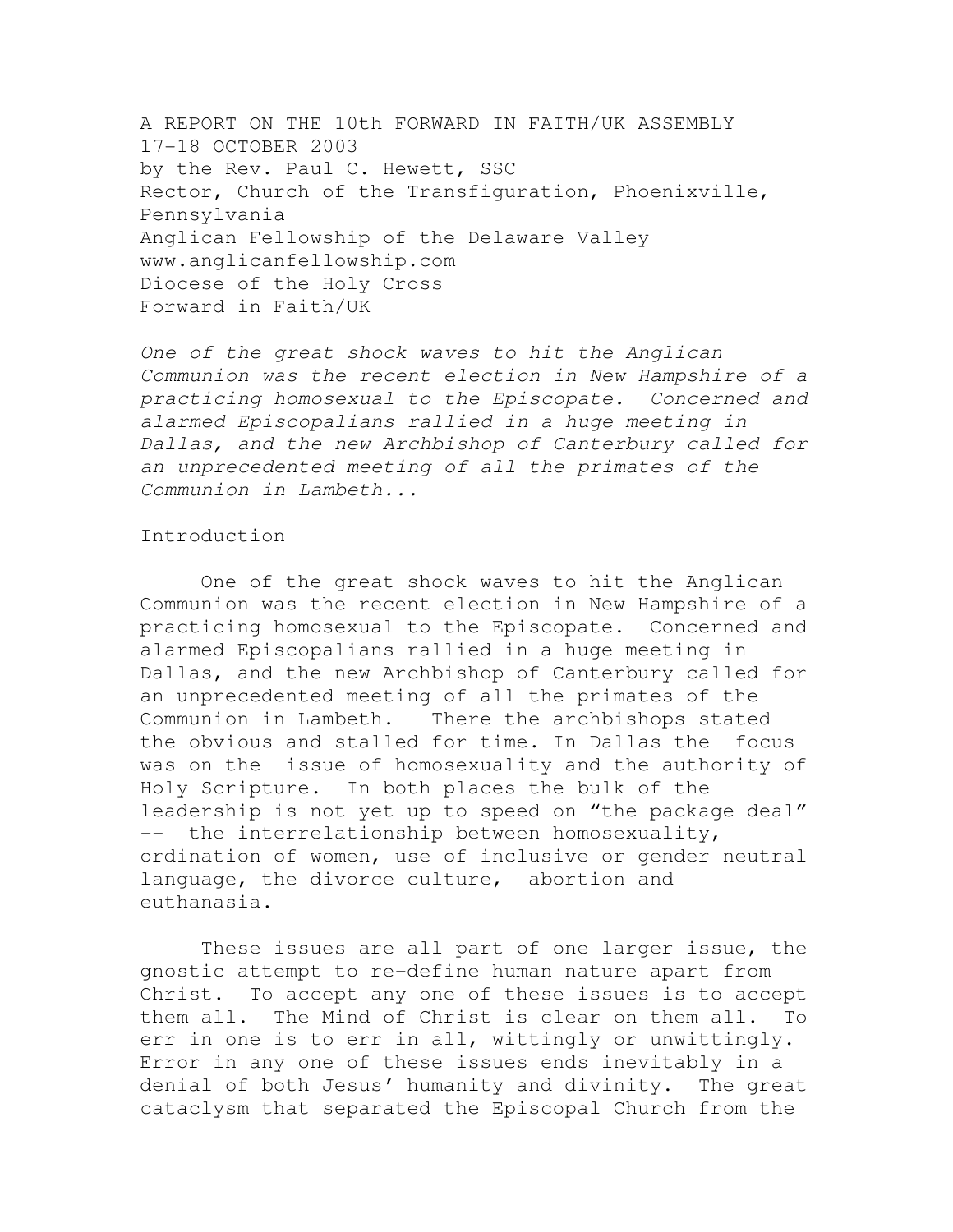A REPORT ON THE 10th FORWARD IN FAITH/UK ASSEMBLY 17-18 OCTOBER 2003 by the Rev. Paul C. Hewett, SSC Rector, Church of the Transfiguration, Phoenixville, Pennsylvania Anglican Fellowship of the Delaware Valley www.anglicanfellowship.com Diocese of the Holy Cross Forward in Faith/UK

One of the great shock waves to hit the Anglican Communion was the recent election in New Hampshire of a practicing homosexual to the Episcopate. Concerned and alarmed Episcopalians rallied in a huge meeting in Dallas, and the new Archbishop of Canterbury called for an unprecedented meeting of all the primates of the Communion in Lambeth...

# Introduction

 One of the great shock waves to hit the Anglican Communion was the recent election in New Hampshire of a practicing homosexual to the Episcopate. Concerned and alarmed Episcopalians rallied in a huge meeting in Dallas, and the new Archbishop of Canterbury called for an unprecedented meeting of all the primates of the Communion in Lambeth. There the archbishops stated the obvious and stalled for time. In Dallas the focus was on the issue of homosexuality and the authority of Holy Scripture. In both places the bulk of the leadership is not yet up to speed on "the package deal" -- the interrelationship between homosexuality, ordination of women, use of inclusive or gender neutral language, the divorce culture, abortion and euthanasia.

 These issues are all part of one larger issue, the gnostic attempt to re-define human nature apart from Christ. To accept any one of these issues is to accept them all. The Mind of Christ is clear on them all. To err in one is to err in all, wittingly or unwittingly. Error in any one of these issues ends inevitably in a denial of both Jesus' humanity and divinity. The great cataclysm that separated the Episcopal Church from the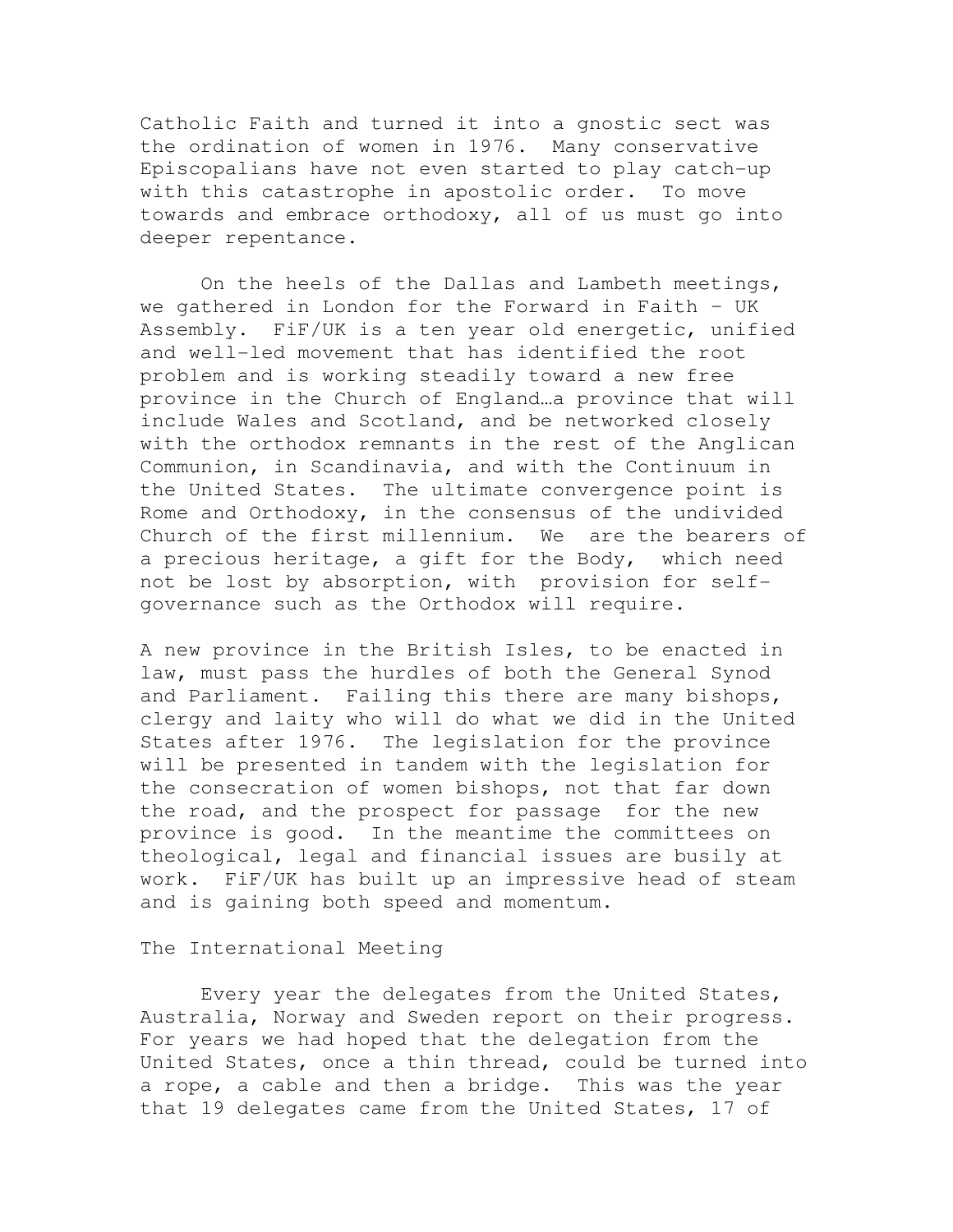Catholic Faith and turned it into a gnostic sect was the ordination of women in 1976. Many conservative Episcopalians have not even started to play catch-up with this catastrophe in apostolic order. To move towards and embrace orthodoxy, all of us must go into deeper repentance.

 On the heels of the Dallas and Lambeth meetings, we gathered in London for the Forward in Faith – UK Assembly. FiF/UK is a ten year old energetic, unified and well-led movement that has identified the root problem and is working steadily toward a new free province in the Church of England…a province that will include Wales and Scotland, and be networked closely with the orthodox remnants in the rest of the Anglican Communion, in Scandinavia, and with the Continuum in the United States. The ultimate convergence point is Rome and Orthodoxy, in the consensus of the undivided Church of the first millennium. We are the bearers of a precious heritage, a gift for the Body, which need not be lost by absorption, with provision for selfgovernance such as the Orthodox will require.

A new province in the British Isles, to be enacted in law, must pass the hurdles of both the General Synod and Parliament. Failing this there are many bishops, clergy and laity who will do what we did in the United States after 1976. The legislation for the province will be presented in tandem with the legislation for the consecration of women bishops, not that far down the road, and the prospect for passage for the new province is good. In the meantime the committees on theological, legal and financial issues are busily at work. FiF/UK has built up an impressive head of steam and is gaining both speed and momentum.

### The International Meeting

 Every year the delegates from the United States, Australia, Norway and Sweden report on their progress. For years we had hoped that the delegation from the United States, once a thin thread, could be turned into a rope, a cable and then a bridge. This was the year that 19 delegates came from the United States, 17 of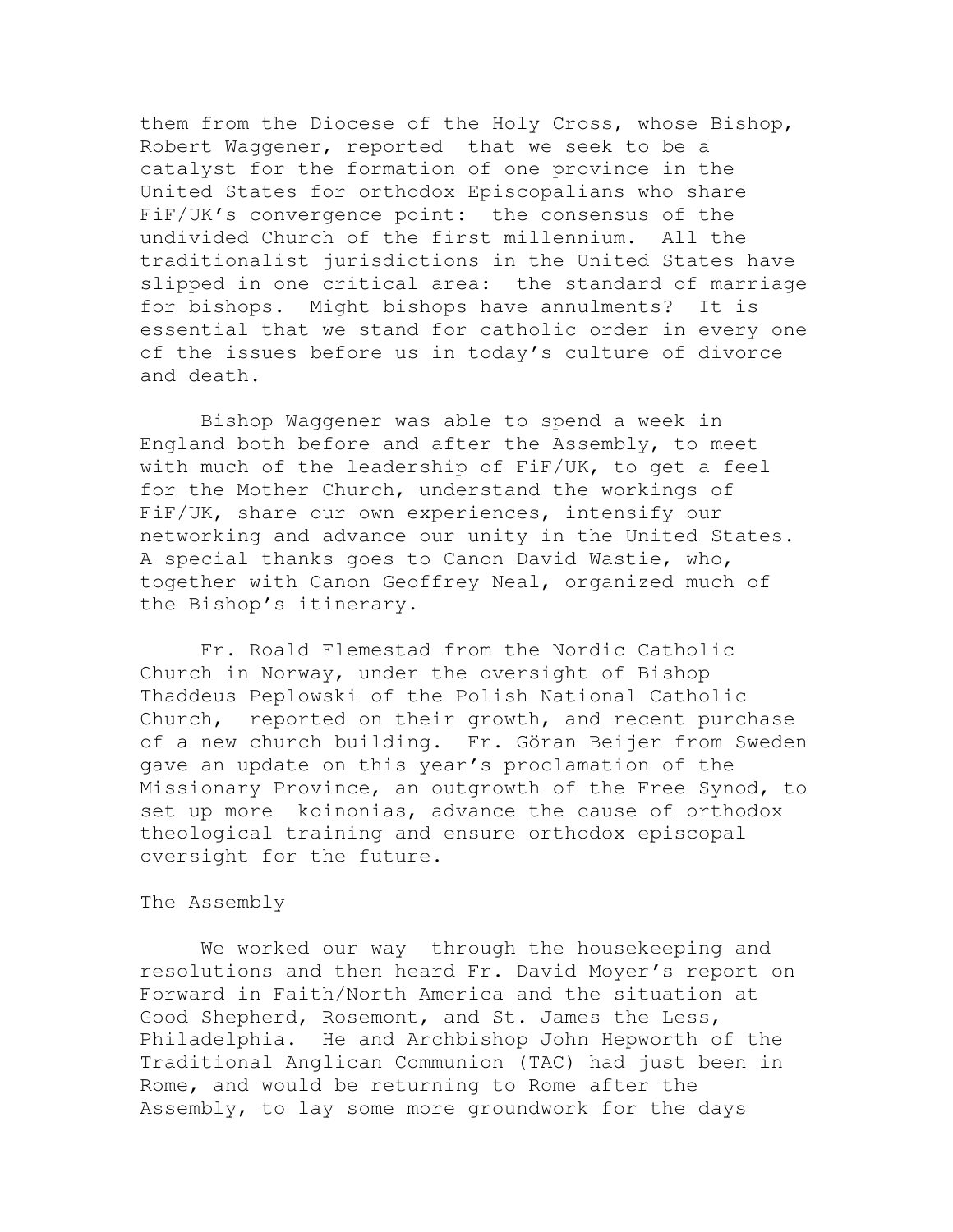them from the Diocese of the Holy Cross, whose Bishop, Robert Waggener, reported that we seek to be a catalyst for the formation of one province in the United States for orthodox Episcopalians who share FiF/UK's convergence point: the consensus of the undivided Church of the first millennium. All the traditionalist jurisdictions in the United States have slipped in one critical area: the standard of marriage for bishops. Might bishops have annulments? It is essential that we stand for catholic order in every one of the issues before us in today's culture of divorce and death.

 Bishop Waggener was able to spend a week in England both before and after the Assembly, to meet with much of the leadership of FiF/UK, to get a feel for the Mother Church, understand the workings of FiF/UK, share our own experiences, intensify our networking and advance our unity in the United States. A special thanks goes to Canon David Wastie, who, together with Canon Geoffrey Neal, organized much of the Bishop's itinerary.

 Fr. Roald Flemestad from the Nordic Catholic Church in Norway, under the oversight of Bishop Thaddeus Peplowski of the Polish National Catholic Church, reported on their growth, and recent purchase of a new church building. Fr. Göran Beijer from Sweden gave an update on this year's proclamation of the Missionary Province, an outgrowth of the Free Synod, to set up more koinonias, advance the cause of orthodox theological training and ensure orthodox episcopal oversight for the future.

### The Assembly

 We worked our way through the housekeeping and resolutions and then heard Fr. David Moyer's report on Forward in Faith/North America and the situation at Good Shepherd, Rosemont, and St. James the Less, Philadelphia. He and Archbishop John Hepworth of the Traditional Anglican Communion (TAC) had just been in Rome, and would be returning to Rome after the Assembly, to lay some more groundwork for the days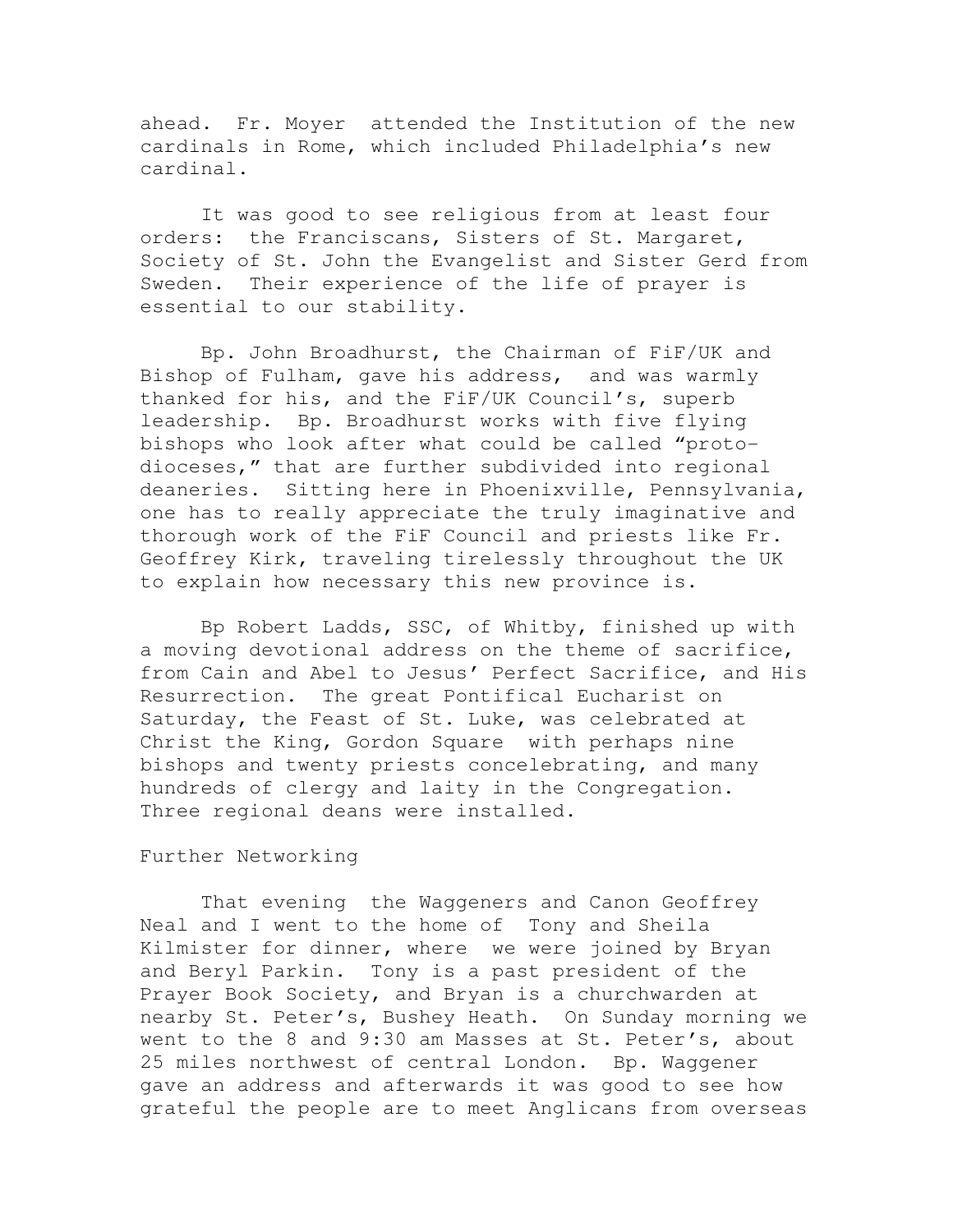ahead. Fr. Moyer attended the Institution of the new cardinals in Rome, which included Philadelphia's new cardinal.

 It was good to see religious from at least four orders: the Franciscans, Sisters of St. Margaret, Society of St. John the Evangelist and Sister Gerd from Sweden. Their experience of the life of prayer is essential to our stability.

 Bp. John Broadhurst, the Chairman of FiF/UK and Bishop of Fulham, gave his address, and was warmly thanked for his, and the FiF/UK Council's, superb leadership. Bp. Broadhurst works with five flying bishops who look after what could be called "protodioceses," that are further subdivided into regional deaneries. Sitting here in Phoenixville, Pennsylvania, one has to really appreciate the truly imaginative and thorough work of the FiF Council and priests like Fr. Geoffrey Kirk, traveling tirelessly throughout the UK to explain how necessary this new province is.

 Bp Robert Ladds, SSC, of Whitby, finished up with a moving devotional address on the theme of sacrifice, from Cain and Abel to Jesus' Perfect Sacrifice, and His Resurrection. The great Pontifical Eucharist on Saturday, the Feast of St. Luke, was celebrated at Christ the King, Gordon Square with perhaps nine bishops and twenty priests concelebrating, and many hundreds of clergy and laity in the Congregation. Three regional deans were installed.

## Further Networking

 That evening the Waggeners and Canon Geoffrey Neal and I went to the home of Tony and Sheila Kilmister for dinner, where we were joined by Bryan and Beryl Parkin. Tony is a past president of the Prayer Book Society, and Bryan is a churchwarden at nearby St. Peter's, Bushey Heath. On Sunday morning we went to the 8 and 9:30 am Masses at St. Peter's, about 25 miles northwest of central London. Bp. Waggener gave an address and afterwards it was good to see how grateful the people are to meet Anglicans from overseas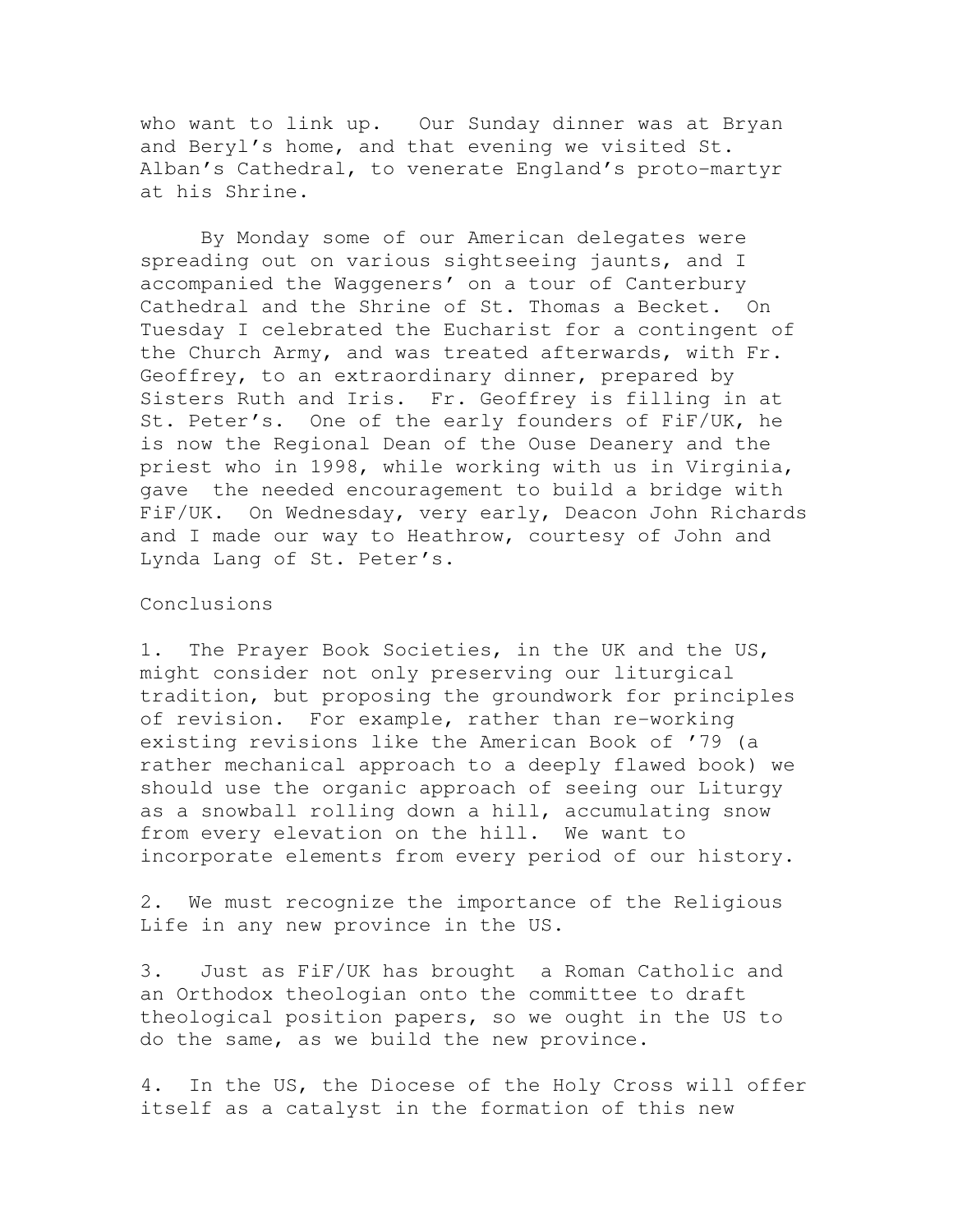who want to link up. Our Sunday dinner was at Bryan and Beryl's home, and that evening we visited St. Alban's Cathedral, to venerate England's proto-martyr at his Shrine.

 By Monday some of our American delegates were spreading out on various sightseeing jaunts, and I accompanied the Waggeners' on a tour of Canterbury Cathedral and the Shrine of St. Thomas a Becket. On Tuesday I celebrated the Eucharist for a contingent of the Church Army, and was treated afterwards, with Fr. Geoffrey, to an extraordinary dinner, prepared by Sisters Ruth and Iris. Fr. Geoffrey is filling in at St. Peter's. One of the early founders of FiF/UK, he is now the Regional Dean of the Ouse Deanery and the priest who in 1998, while working with us in Virginia, gave the needed encouragement to build a bridge with FiF/UK. On Wednesday, very early, Deacon John Richards and I made our way to Heathrow, courtesy of John and Lynda Lang of St. Peter's.

#### Conclusions

1. The Prayer Book Societies, in the UK and the US, might consider not only preserving our liturgical tradition, but proposing the groundwork for principles of revision. For example, rather than re-working existing revisions like the American Book of '79 (a rather mechanical approach to a deeply flawed book) we should use the organic approach of seeing our Liturgy as a snowball rolling down a hill, accumulating snow from every elevation on the hill. We want to incorporate elements from every period of our history.

2. We must recognize the importance of the Religious Life in any new province in the US.

3. Just as FiF/UK has brought a Roman Catholic and an Orthodox theologian onto the committee to draft theological position papers, so we ought in the US to do the same, as we build the new province.

4. In the US, the Diocese of the Holy Cross will offer itself as a catalyst in the formation of this new